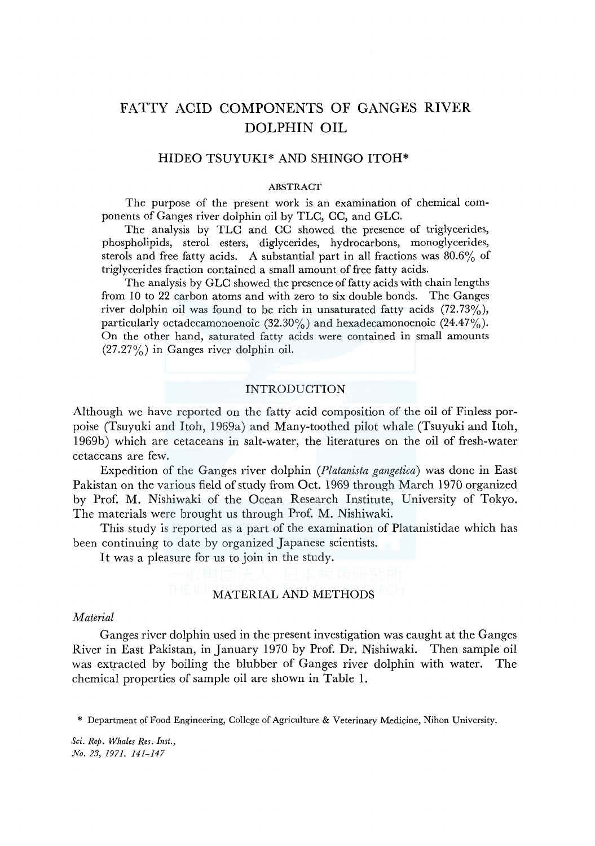# FATTY ACID COMPONENTS OF GANGES RIVER DOLPHIN OIL

# HIDEO TSUYUKI\* AND SHINGO ITOH\*

### ABSTRACT

The purpose of the present work is an examination of chemical components of Ganges river dolphin oil by TLC, CC, and GLC.

The analysis by TLC and CC showed the presence of triglycerides, phospholipids, sterol esters, diglycerides, hydrocarbons, monoglycerides, sterols and free fatty acids. A substantial part in all fractions was 80.6% of triglycerides fraction contained a small amount of free fatty acids.

The analysis by GLC showed the presence of fatty acids with chain lengths from 10 to 22 carbon atoms and with zero to six double bonds. The Ganges river dolphin oil was found to be rich in unsaturated fatty acids  $(72.73\%)$ , particularly octadecamonoenoic  $(32.30\%)$  and hexadecamonoenoic  $(24.47\%)$ . On the other hand, saturated fatty acids were contained in small amounts (27.27%) in Ganges river dolphin oil.

## INTRODUCTION

Although we have reported on the fatty acid composition of the oil of Finless porpoise (Tsuyuki and Itoh, 1969a) and Many-toothed pilot whale (Tsuyuki and Itoh, l 969b) which are cetaceans in salt-water, the literatures on the oil of fresh-water cetaceans are few.

Expedition of the Ganges river dolphin *(Platanista gangetica)* was done in East Pakistan on the various field of study from Oct. 1969 through March 1970 organized by Prof. M. Nishiwaki of the Ocean Research Institute, University of Tokyo. The materials were brought us through Prof. M. Nishiwaki.

This study is reported as a part of the examination of Platanistidae which has been continuing to date by organized Japanese scientists.

It was a pleasure for us to join in the study.

### MATERIAL AND METHODS

## *Material*

Ganges river dolphin used in the present investigation was caught at the Ganges River in East Pakistan, in January 1970 by Prof. Dr. Nishiwaki. Then sample oil was extracted by boiling the blubber of Ganges river dolphin with water. The chemical properties of sample oil are shown in Table 1.

\* Department of Food Engineering, College of Agriculture & Veterinary Medicine, Nihon University.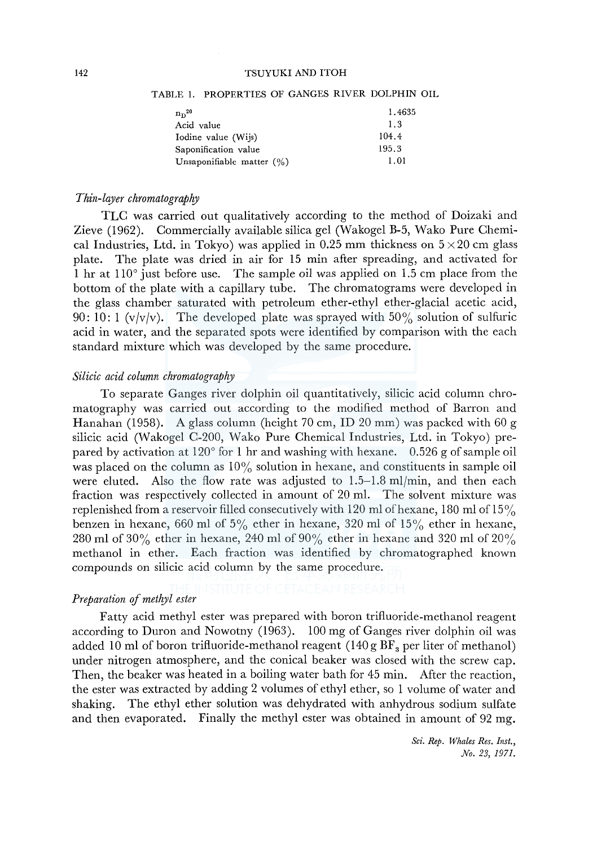#### 142 TSUYUKI AND ITOH

| $n n^{20}$                   | 1.4635 |
|------------------------------|--------|
| Acid value                   | 1.3    |
| Iodine value (Wijs)          | 104.4  |
| Saponification value         | 195.3  |
| Unsaponifiable matter $(\%)$ | 1.01   |

#### TABLE !. PROPERTIES OF GANGES RIVER DOLPHIN OIL

### *Thin-layer chromatograplry*

TLC was carried out qualitatively according to the method of Doizaki and Zieve (1962). Commercially available silica gel (Wakogel B-5, Wako Pure Chemical Industries, Ltd. in Tokyo) was applied in 0.25 mm thickness on  $5 \times 20$  cm glass plate. The plate was dried in air for 15 min after spreading, and activated for 1 hr at 110° just before use. The sample oil was applied on 1.5 cm place from the bottom of the plate with a capillary tube. The chromatograms were developed in the glass chamber saturated with petroleum ether-ethyl ether-glacial acetic acid, 90: 10: 1 ( $v/v/v$ ). The developed plate was sprayed with 50% solution of sulfuric acid in water, and the separated spots were identified by comparison with the each standard mixture which was developed by the same procedure.

### *Silicic acid column chromatography*

To separate Ganges river dolphin oil quantitatively, silicic acid column chromatography was carried out according to the modified method of Barron and Hanahan (1958). A glass column (height 70 cm, ID 20 mm) was packed with 60 g silicic acid (Wakogel C-200, Wako Pure Chemical Industries, Ltd. in Tokyo) prepared by activation at 120° for 1 hr and washing with hexane. 0.526 g of sample oil was placed on the column as  $10\%$  solution in hexane, and constituents in sample oil were eluted. Also the flow rate was adjusted to  $1.5-1.8$  ml/min, and then each fraction was respectively collected in amount of 20 ml. The solvent mixture was replenished from a reservoir filled consecutively with 120 ml of hexane, 180 ml of 15% benzen in hexane, 660 ml of  $5\%$  ether in hexane, 320 ml of  $15\%$  ether in hexane, 280 ml of 30% ether in hexane, 240 ml of 90% ether in hexane and 320 ml of 20% methanol in ether. Each fraction was identified by chromatographed known compounds on silicic acid column by the same procedure.

# *Preparation of methyl ester*

Fatty acid methyl ester was prepared with boron triftuoride-methanol reagent according to Duron and Nowotny (1963). 100 mg of Ganges river dolphin oil was added 10 ml of boron triftuoride-methanol reagent  $(140 g BF<sub>a</sub>$  per liter of methanol) under nitrogen atmosphere, and the conical beaker was closed with the screw cap. Then, the beaker was heated in a boiling water bath for 45 min. After the reaction, the ester was extracted by adding 2 volumes of ethyl ether, so 1 volume of water and shaking. The ethyl ether solution was dehydrated with anhydrous sodium sulfate and then evaporated. Finally the methyl ester was obtained in amount of 92 mg.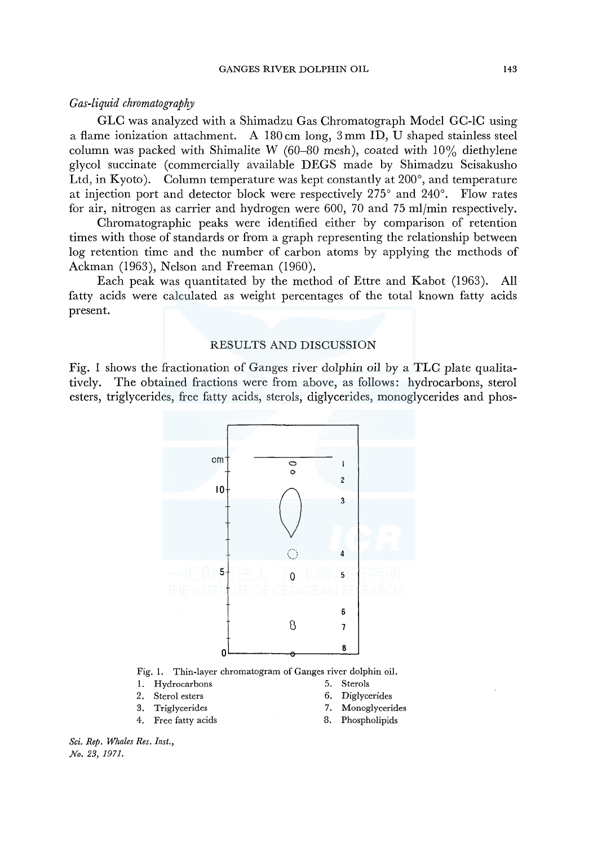# *Gas-liquid chromatography*

GLC was analyzed with a Shimadzu Gas Chromatograph Model GC-lC using a flame ionization attachment. A 180 cm long, 3 mm ID, U shaped stainless steel column was packed with Shimalite W (60–80 mesh), coated with  $10\%$  diethylene glycol succinate (commercially available DEGS made by Shimadzu Seisakusho Ltd, in Kyoto). Column temperature was kept constantly at  $200^{\circ}$ , and temperature at injection port and detector block were respectively 275° and 240°. Flow rates for air, nitrogen as carrier and hydrogen were 600, 70 and 75 ml/min respectively.

Chromatographic peaks were identified either by comparison of retention times with those of standards or from a graph representing the relationship between log retention time and the number of carbon atoms by applying the methods of Ackman (1963), Nelson and Freeman (1960).

Each peak was quantitated by the method of Ettre and Kabot (1963). All fatty acids were calculated as weight percentages of the total known fatty acids present.

### RESULTS AND DISCUSSION

Fig. 1 shows the fractionation of Ganges river dolphin oil by a TLC plate qualitatively. The obtained fractions were from above, as follows: hydrocarbons, sterol esters, triglycerides, free fatty acids, sterols, diglycerides, monoglycerides and phos-

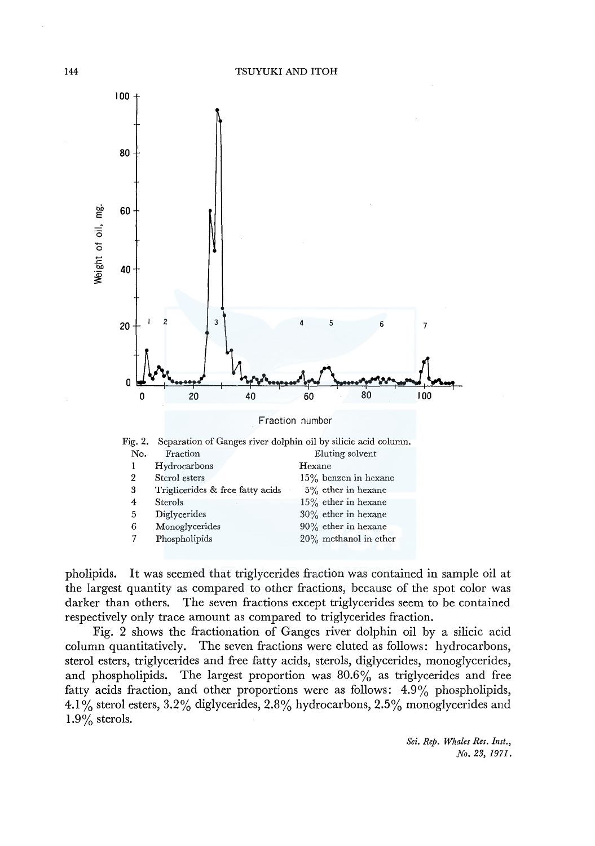

pholipids. It was seemed that triglycerides fraction was contained in sample oil at the largest quantity as compared to other fractions, because of the spot color was darker than others. The seven fractions except triglycerides seem to be contained respectively only trace amount as compared to triglycerides fraction.

Fig. 2 shows the fractionation of Ganges river dolphin oil by a silicic acid column quantitatively. The seven fractions were eluted as follows: hydrocarbons, sterol esters, triglycerides and free fatty acids, sterols, diglycerides, monoglycerides, and phospholipids. The largest proportion was 80.6% as triglycerides and free fatty acids fraction, and other proportions were as follows: 4.9% phospholipids, 4.1 % sterol esters, 3.2% diglycerides, 2.8% hydrocarbons, 2.5% monoglycerides and **1.9%** sterols.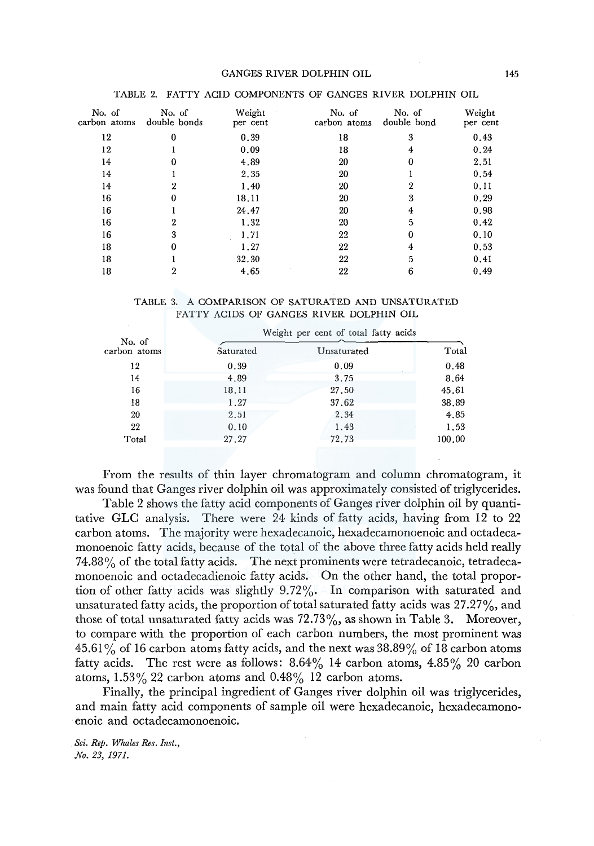#### GANGES RIVER DOLPHIN OIL 145

| No. of<br>carbon atoms | No. of<br>double bonds | Weight<br>per cent | No. of<br>carbon atoms | No. of<br>double bond | Weight<br>per cent |
|------------------------|------------------------|--------------------|------------------------|-----------------------|--------------------|
| 12                     | 0                      | 0.39               | 18                     | 3                     | 0.43               |
| 12                     |                        | 0.09               | 18                     | 4                     | 0.24               |
| 14                     | 0                      | 4.89               | 20                     | 0                     | 2.51               |
| 14                     |                        | 2.35               | 20                     |                       | 0.54               |
| 14                     | 2                      | 1,40               | 20                     | 2                     | 0.11               |
| 16                     |                        | 18.11              | 20                     | 3                     | 0.29               |
| 16                     |                        | 24.47              | 20                     | 4                     | 0.98               |
| 16                     | 2                      | 1.32               | 20                     | 5                     | 0.42               |
| 16                     | 3                      | 1.71               | 22                     | $\Omega$              | 0.10               |
| 18                     | 0                      | 1.27               | 22                     | 4                     | 0.53               |
| 18                     |                        | 32.30              | 22                     | 5                     | 0.41               |
| 18                     | 2                      | 4.65               | 22                     | 6                     | 0.49               |

#### TABLE 2. FATTY ACID COMPONENTS OF GANGES RIVER DOLPHIN OIL

#### TABLE 3. A COMPARISON OF SATURATED AND UNSATURATED FATTY ACIDS OF GANGES RIVER DOLPHIN OIL

|                        |           | Weight per cent of total fatty acids |        |
|------------------------|-----------|--------------------------------------|--------|
| No. of<br>carbon atoms | Saturated | Unsaturated                          | Total  |
| 12                     | 0.39      | 0.09                                 | 0.48   |
| 14                     | 4.89      | 3.75                                 | 8.64   |
| 16                     | 18.11     | 27,50                                | 45.61  |
| 18                     | 1.27      | 37.62                                | 38.89  |
| 20                     | 2.51      | 2.34                                 | 4,85   |
| 22                     | 0.10      | 1.43                                 | 1.53   |
| Total                  | 27.27     | 72.73                                | 100.00 |

From the results of thin layer chromatogram and column chromatogram, it was found that Ganges river dolphin oil was approximately consisted of triglycerides.

Table 2 shows the fatty acid components of Ganges river dolphin oil by quantitative GLC analysis. There were 24 kinds of fatty acids, having from 12 to 22 carbon atoms. The majority were hexadecanoic, hexadecamonoenoic and octadecamonoenoic fatty acids, because of the total of the above three fatty acids held really  $74.88\%$  of the total fatty acids. The next prominents were tetradecanoic, tetradecamonoenoic and octadecadienoic fatty acids. On the other hand, the total proportion of other fatty acids was slightly 9.72%. In comparison with saturated and unsaturated fatty acids, the proportion of total saturated fatty acids was  $27.27\%$ , and those of total unsaturated fatty acids was  $72.73\%$ , as shown in Table 3. Moreover, to compare with the proportion of each carbon numbers, the most prominent was  $45.61\%$  of 16 carbon atoms fatty acids, and the next was  $38.89\%$  of 18 carbon atoms fatty acids. The rest were as follows:  $8.64\%$  14 carbon atoms,  $4.85\%$  20 carbon atoms,  $1.53\%$  22 carbon atoms and  $0.48\%$  12 carbon atoms.

Finally, the principal ingredient of Ganges river dolphin oil was triglycerides, and main fatty acid components of sample oil were hexadecanoic, hexadecamonoenoic and octadecamonoenoic.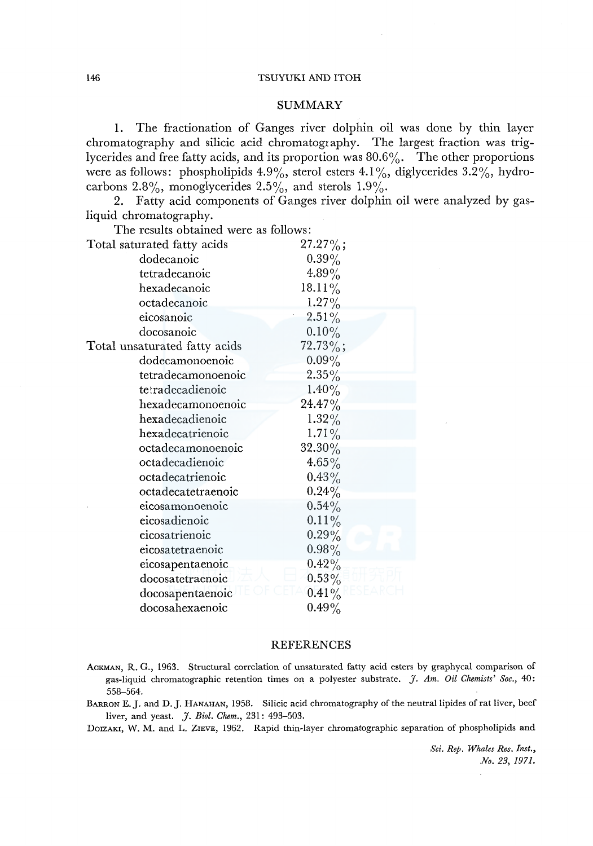### 146 TSUYUKI AND ITOH

### SUMMARY

**1.** The fractionation of Ganges river dolphin oil was done by thin layer chromatography and silicic acid chromatography. The largest fraction was triglycerides and free fatty acids, and its proportion was 80.6%. The other proportions were as follows: phospholipids 4.9%, sterol esters 4.1%, diglycerides 3.2%, hydrocarbons  $2.8\%$ , monoglycerides  $2.5\%$ , and sterols  $1.9\%$ .

2. Fatty acid components of Ganges river dolphin oil were analyzed by gasliquid chromatography.

| The results obtained were as follows: |             |
|---------------------------------------|-------------|
| Total saturated fatty acids           | $27.27\%$ ; |
| dodecanoic                            | $0.39\%$    |
| tetradecanoic                         | 4.89%       |
| hexadecanoic                          | $18.11\%$   |
| octadecanoic                          | 1.27%       |
| eicosanoic                            | $2.51\%$    |
| docosanoic                            | $0.10\%$    |
| Total unsaturated fatty acids         | $72.73\%$ ; |
| dodecamonoenoic                       | $0.09\%$    |
| tetradecamonoenoic                    | $2.35\%$    |
| tetradecadienoic                      | $1.40\%$    |
| hexadecamonoenoic                     | $24.47\%$   |
| hexadecadienoic                       | $1.32\%$    |
| hexadecatrienoic                      | $1.71\%$    |
| octadecamonoenoic                     | 32.30%      |
| octadecadienoic                       | $4.65\%$    |
| octadecatrienoic                      | $0.43\%$    |
| octadecatetraenoic                    | $0.24\%$    |
| eicosamonoenoic                       | $0.54\%$    |
| eicosadienoic                         | $0.11\%$    |
| eicosatrienoic                        | $0.29\%$    |
| eicosatetraenoic                      | $0.98\%$    |
| eicosapentaenoic                      | $0.42\%$    |
| docosatetraenoic                      | $0.53\%$    |
| docosapentaenoic                      | $0.41\%$    |
| docosahexaenoic                       | $0.49\%$    |
|                                       |             |

### REFERENCES

- AGKMAN, R. G., 1963. Structural correlation of unsaturated fatty acid esters by graphycal comparison of gas-liquid chromatographic retention times on a polyester substrate. J. *Am. Oil Chemists' Soc.,* 40: 558-564.
- BARRON E.J. and D.J. HANAHAN, 1958. Silicic acid chromatography of the neutral lipides of rat liver, beef liver, and yeast. J. *Biol. Chem.,* 231: 493-503.

DOIZAKI, W. M. and L. ZIEVE, 1962. Rapid thin-layer chromatographic separation of phospholipids and